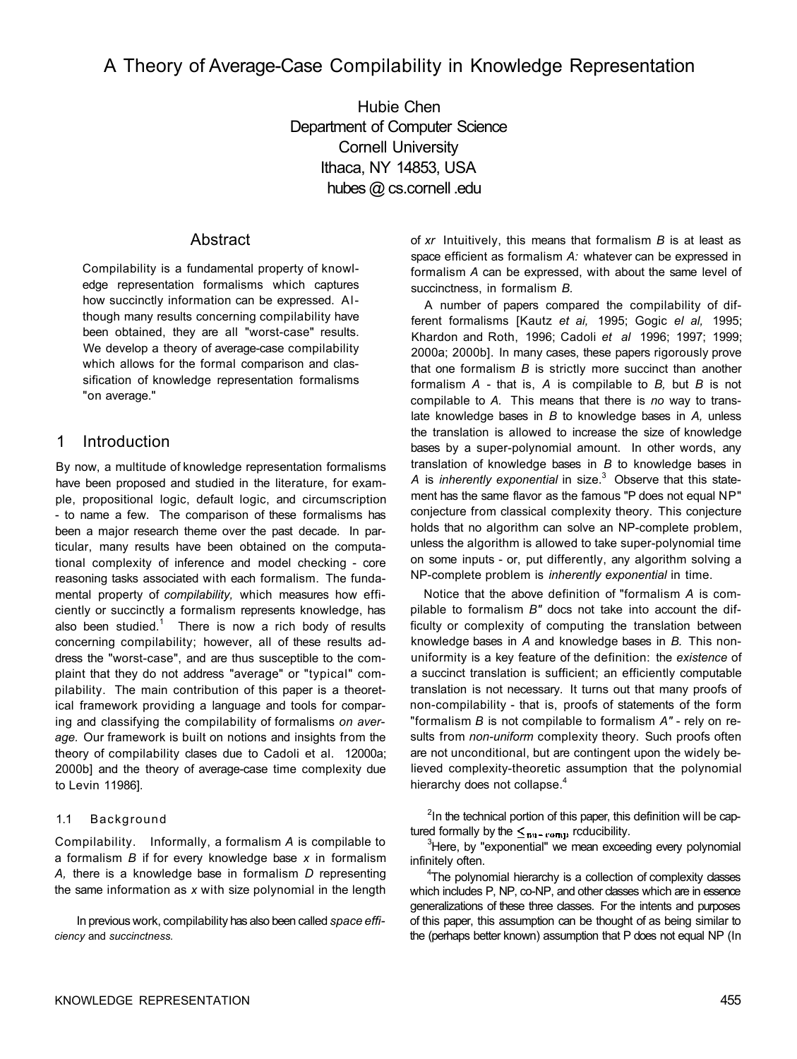# A Theory of Average-Case Compilability in Knowledge Representation

Hubie Chen Department of Computer Science Cornell University Ithaca, NY 14853, USA hubes @ cs.cornell .edu

# Abstract

Compilability is a fundamental property of knowledge representation formalisms which captures how succinctly information can be expressed. Although many results concerning compilability have been obtained, they are all "worst-case" results. We develop a theory of average-case compilability which allows for the formal comparison and classification of knowledge representation formalisms "on average."

# 1 Introduction

By now, a multitude of knowledge representation formalisms have been proposed and studied in the literature, for example, propositional logic, default logic, and circumscription - to name a few. The comparison of these formalisms has been a major research theme over the past decade. In particular, many results have been obtained on the computational complexity of inference and model checking - core reasoning tasks associated with each formalism. The fundamental property of *compilability,* which measures how efficiently or succinctly a formalism represents knowledge, has also been studied. $1$  There is now a rich body of results concerning compilability; however, all of these results address the "worst-case", and are thus susceptible to the complaint that they do not address "average" or "typical" compilability. The main contribution of this paper is a theoretical framework providing a language and tools for comparing and classifying the compilability of formalisms *on average.* Our framework is built on notions and insights from the theory of compilability clases due to Cadoli et al. 12000a; 2000b] and the theory of average-case time complexity due to Levin 11986].

## 1.1 Background

Compilability. Informally, a formalism *A* is compilable to a formalism *B* if for every knowledge base *x* in formalism *A,* there is a knowledge base in formalism *D* representing the same information as *x* with size polynomial in the length

In previous work, compilability has also been called *space efficiency* and *succinctness.* 

of *xr* Intuitively, this means that formalism *B* is at least as space efficient as formalism *A:* whatever can be expressed in formalism *A* can be expressed, with about the same level of succinctness, in formalism *B.* 

A number of papers compared the compilability of different formalisms [Kautz *et ai,* 1995; Gogic *el al,* 1995; Khardon and Roth, 1996; Cadoli *et al* 1996; 1997; 1999; 2000a; 2000b]. In many cases, these papers rigorously prove that one formalism *B* is strictly more succinct than another formalism *A* - that is, *A* is compilable to *B,* but *B* is not compilable to *A.* This means that there is *no* way to translate knowledge bases in *B* to knowledge bases in *A,* unless the translation is allowed to increase the size of knowledge bases by a super-polynomial amount. In other words, any translation of knowledge bases in *B* to knowledge bases in A is *inherently exponential* in size.<sup>3</sup> Observe that this statement has the same flavor as the famous "P does not equal NP" conjecture from classical complexity theory. This conjecture holds that no algorithm can solve an NP-complete problem, unless the algorithm is allowed to take super-polynomial time on some inputs - or, put differently, any algorithm solving a NP-complete problem is *inherently exponential* in time.

Notice that the above definition of "formalism *A* is compilable to formalism *B"* docs not take into account the difficulty or complexity of computing the translation between knowledge bases in *A* and knowledge bases in *B.* This nonuniformity is a key feature of the definition: the *existence* of a succinct translation is sufficient; an efficiently computable translation is not necessary. It turns out that many proofs of non-compilability - that is, proofs of statements of the form "formalism *B* is not compilable to formalism *A"* - rely on results from *non-uniform* complexity theory. Such proofs often are not unconditional, but are contingent upon the widely believed complexity-theoretic assumption that the polynomial hierarchy does not collapse.<sup>4</sup>

 $2$ In the technical portion of this paper, this definition will be captured formally by the  $\leq_{\mathfrak{su}-\mathfrak{c} \text{or} \mathfrak{u} \mathfrak{p}}$  reducibility.

<sup>3</sup>Here, by "exponential" we mean exceeding every polynomial infinitely often.

<sup>4</sup>The polynomial hierarchy is a collection of complexity dasses which includes P, NP, co-NP, and other classes which are in essence generalizations of these three classes. For the intents and purposes of this paper, this assumption can be thought of as being similar to the (perhaps better known) assumption that P does not equal NP (In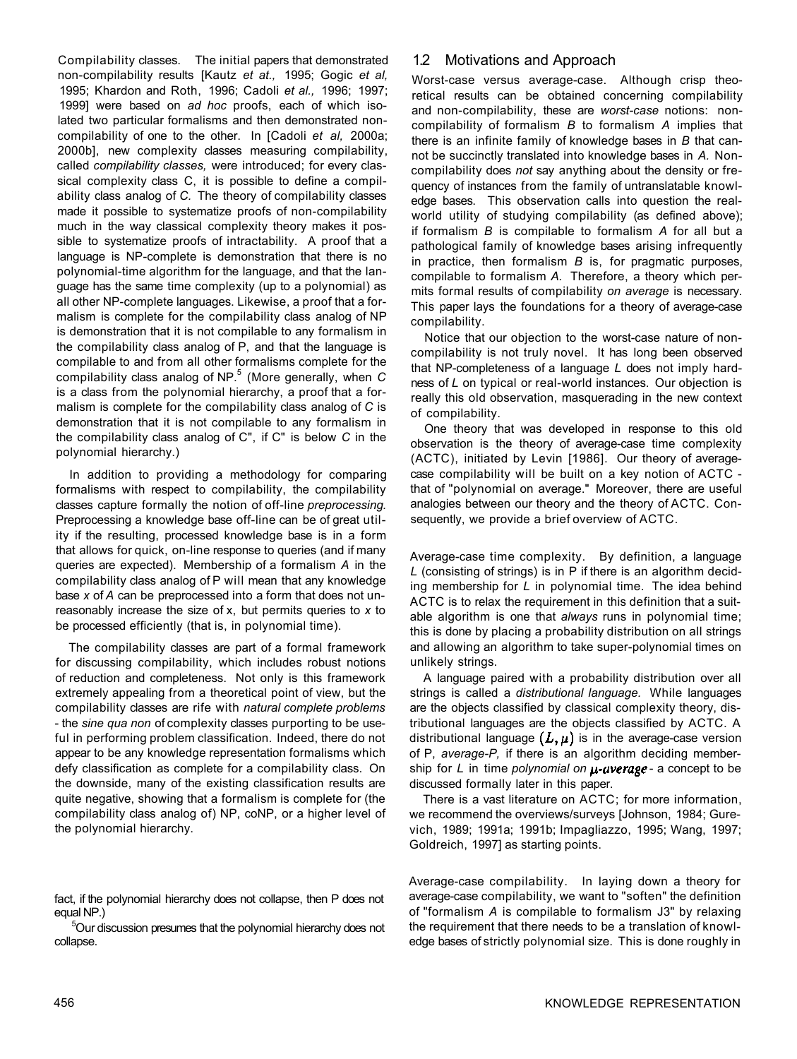Compilability classes. The initial papers that demonstrated non-compilability results [Kautz *et at.,* 1995; Gogic *et al,*  1995; Khardon and Roth, 1996; Cadoli *et al.,* 1996; 1997; 1999] were based on *ad hoc* proofs, each of which isolated two particular formalisms and then demonstrated noncompilability of one to the other. In [Cadoli *et al,* 2000a; 2000b], new complexity classes measuring compilability, called *compilability classes,* were introduced; for every classical complexity class C, it is possible to define a compilability class analog of *C.* The theory of compilability classes made it possible to systematize proofs of non-compilability much in the way classical complexity theory makes it possible to systematize proofs of intractability. A proof that a language is NP-complete is demonstration that there is no polynomial-time algorithm for the language, and that the language has the same time complexity (up to a polynomial) as all other NP-complete languages. Likewise, a proof that a formalism is complete for the compilability class analog of NP is demonstration that it is not compilable to any formalism in the compilability class analog of P, and that the language is compilable to and from all other formalisms complete for the compilability class analog of NP.<sup>5</sup> (More generally, when *C*  is a class from the polynomial hierarchy, a proof that a formalism is complete for the compilability class analog of *C* is demonstration that it is not compilable to any formalism in the compilability class analog of C", if C" is below *C* in the polynomial hierarchy.)

In addition to providing a methodology for comparing formalisms with respect to compilability, the compilability classes capture formally the notion of off-line *preprocessing.*  Preprocessing a knowledge base off-line can be of great utility if the resulting, processed knowledge base is in a form that allows for quick, on-line response to queries (and if many queries are expected). Membership of a formalism *A* in the compilability class analog of P will mean that any knowledge base *x* of *A* can be preprocessed into a form that does not unreasonably increase the size of x, but permits queries to *x* to be processed efficiently (that is, in polynomial time).

The compilability classes are part of a formal framework for discussing compilability, which includes robust notions of reduction and completeness. Not only is this framework extremely appealing from a theoretical point of view, but the compilability classes are rife with *natural complete problems*  - the *sine qua non* of complexity classes purporting to be useful in performing problem classification. Indeed, there do not appear to be any knowledge representation formalisms which defy classification as complete for a compilability class. On the downside, many of the existing classification results are quite negative, showing that a formalism is complete for (the compilability class analog of) NP, coNP, or a higher level of the polynomial hierarchy.

fact, if the polynomial hierarchy does not collapse, then P does not equal NP.)

<sup>5</sup>Our discussion presumes that the polynomial hierarchy does not collapse.

## 1.2 Motivations and Approach

Worst-case versus average-case. Although crisp theoretical results can be obtained concerning compilability and non-compilability, these are *worst-case* notions: noncompilability of formalism *B* to formalism *A* implies that there is an infinite family of knowledge bases in *B* that cannot be succinctly translated into knowledge bases in *A.* Noncompilability does *not* say anything about the density or frequency of instances from the family of untranslatable knowledge bases. This observation calls into question the realworld utility of studying compilability (as defined above); if formalism *B* is compilable to formalism *A* for all but a pathological family of knowledge bases arising infrequently in practice, then formalism *B* is, for pragmatic purposes, compilable to formalism *A.* Therefore, a theory which permits formal results of compilability *on average* is necessary. This paper lays the foundations for a theory of average-case compilability.

Notice that our objection to the worst-case nature of noncompilability is not truly novel. It has long been observed that NP-completeness of a language *L* does not imply hardness of *L* on typical or real-world instances. Our objection is really this old observation, masquerading in the new context of compilability.

One theory that was developed in response to this old observation is the theory of average-case time complexity (ACTC), initiated by Levin [1986]. Our theory of averagecase compilability will be built on a key notion of ACTC that of "polynomial on average." Moreover, there are useful analogies between our theory and the theory of ACTC. Consequently, we provide a brief overview of ACTC.

Average-case time complexity. By definition, a language *L* (consisting of strings) is in P if there is an algorithm deciding membership for *L* in polynomial time. The idea behind ACTC is to relax the requirement in this definition that a suitable algorithm is one that *always* runs in polynomial time; this is done by placing a probability distribution on all strings and allowing an algorithm to take super-polynomial times on unlikely strings.

A language paired with a probability distribution over all strings is called a *distributional language.* While languages are the objects classified by classical complexity theory, distributional languages are the objects classified by ACTC. A distributional language  $(L, \mu)$  is in the average-case version of P, *average-P,* if there is an algorithm deciding membership for  $L$  in time *polynomial on*  $\mu$ -*average* - a concept to be discussed formally later in this paper.

There is a vast literature on ACTC; for more information, we recommend the overviews/surveys [Johnson, 1984; Gurevich, 1989; 1991a; 1991b; Impagliazzo, 1995; Wang, 1997; Goldreich, 1997] as starting points.

Average-case compilability. In laying down a theory for average-case compilability, we want to "soften" the definition of "formalism *A* is compilable to formalism J3" by relaxing the requirement that there needs to be a translation of knowledge bases of strictly polynomial size. This is done roughly in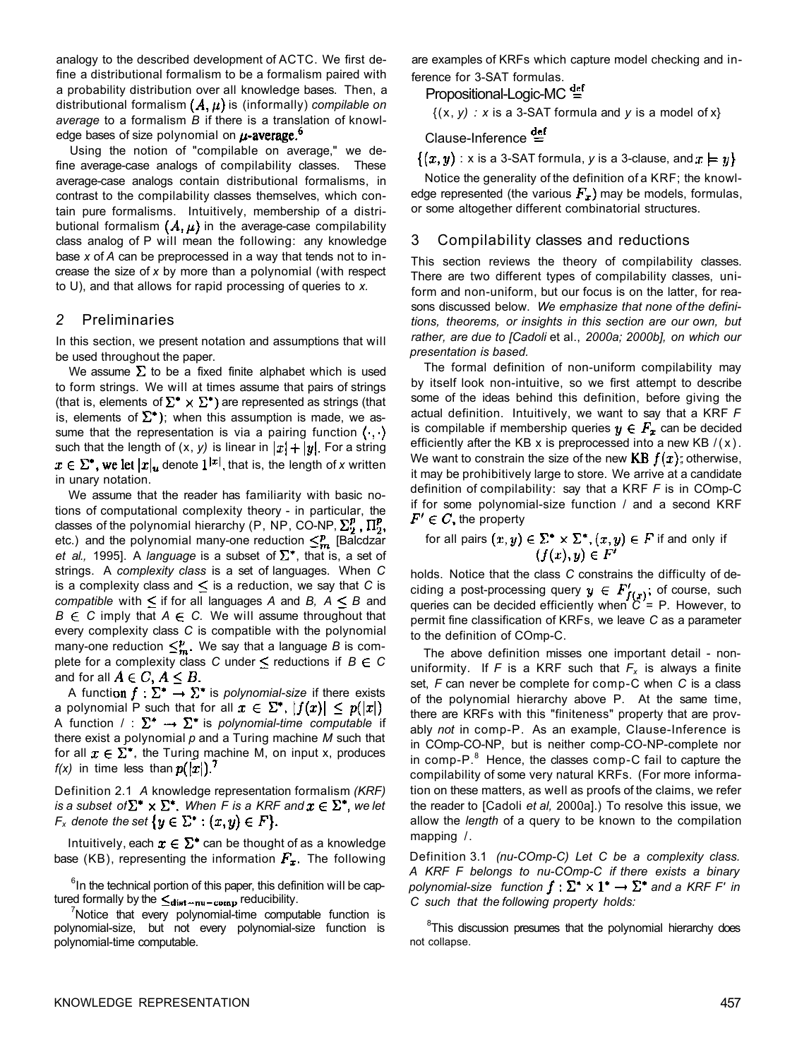analogy to the described development of ACTC. We first define a distributional formalism to be a formalism paired with a probability distribution over all knowledge bases. Then, a distributional formalism  $(A, \mu)$  is (informally) compilable on *average* to a formalism *B* if there is a translation of knowledge bases of size polynomial on  $\mu$ -average.<sup>6</sup>

Using the notion of "compilable on average," we define average-case analogs of compilability classes. These average-case analogs contain distributional formalisms, in contrast to the compilability classes themselves, which contain pure formalisms. Intuitively, membership of a distributional formalism  $(A, \mu)$  in the average-case compilability class analog of P will mean the following: any knowledge base *x* of *A* can be preprocessed in a way that tends not to increase the size of *x* by more than a polynomial (with respect to U), and that allows for rapid processing of queries to *x.* 

#### *2* Preliminaries

In this section, we present notation and assumptions that will be used throughout the paper.

We assume  $\Sigma$  to be a fixed finite alphabet which is used to form strings. We will at times assume that pairs of strings (that is, elements of  $\Sigma^* \times \Sigma^*$ ) are represented as strings (that is, elements of  $\Sigma^*$ ); when this assumption is made, we assume that the representation is via a pairing function  $\langle \cdot, \cdot \rangle$ such that the length of  $(x, y)$  is linear in  $|x| + |y|$ . For a string  $x \in \Sigma^*$ , we let  $|x|_u$  denote  $1^{|x|}$ , that is, the length of x written in unary notation.

We assume that the reader has familiarity with basic notions of computational complexity theory - in particular, the classes of the polynomial hierarchy (P, NP, CO-NP,  $\Sigma_2^p$ ,  $\Pi_2^p$ , etc.) and the polynomial many-one reduction  $\leq^p_m$  [Balcdzar *et al.,* 1995]. A *language* is a subset of  $\Sigma^*$ , that is, a set of strings. A *complexity class* is a set of languages. When *C*  is a complexity class and  $\leq$  is a reduction, we say that C is *compatible* with  $\leq$  if for all languages A and B,  $A \leq B$  and  $B \in C$  imply that  $A \in C$ . We will assume throughout that every complexity class *C* is compatible with the polynomial many-one reduction  $\leq^p_m$ . We say that a language *B* is complete for a complexity class C under  $\leq$  reductions if  $B \in C$ and for all  $A \in C$ ,  $A \leq B$ .

A function  $f : \Sigma^* \to \Sigma^*$  is *polynomial-size* if there exists a polynomial P such that for all  $x \in \Sigma^*$ ,  $|f(x)| \leq p(|x|)$ A function  $\ell : \Sigma^* \to \Sigma^*$  is *polynomial-time computable* if there exist a polynomial *p* and a Turing machine *M* such that for all  $x \in \Sigma^*$ , the Turing machine M, on input x, produces  $f(x)$  in time less than  $p(|x|)$ .

Definition 2.1 *A* knowledge representation formalism *(KRF) is a subset of*  $\Sigma^* \times \Sigma^*$ . When *F* is a KRF and  $x \in \Sigma^*$ , we let *F<sub>x</sub>* denote the set  $\{y \in \Sigma^* : (x, y) \in F\}$ .

Intuitively, each  $x \in \Sigma^*$  can be thought of as a knowledge base (KB), representing the information  $F_x$ . The following

 $6$ In the technical portion of this paper, this definition will be captured formally by the  $\leq_{\text{dist}\,\sim\,nu\,\sim\,comp}$  reducibility.

 $7$ Notice that every polynomial-time computable function is polynomial-size, but not every polynomial-size function is polynomial-time computable.

are examples of KRFs which capture model checking and inference for 3-SAT formulas.

Propositional-Logic-MC  $\stackrel{\text{def}}{=}$ 

 $\{(x, y) : x \text{ is a 3-SAT formula and } y \text{ is a model of } x\}$ 

Clause-Inference  $\stackrel{\text{def}}{=}$ 

 $\{(x,y): x \text{ is a 3-SAT formula}, y \text{ is a 3-clause, and } x \models y\}$ 

Notice the generality of the definition of a KRF; the knowledge represented (the various  $F_x$ ) may be models, formulas, or some altogether different combinatorial structures.

## 3 Compilability classes and reductions

This section reviews the theory of compilability classes. There are two different types of compilability classes, uniform and non-uniform, but our focus is on the latter, for reasons discussed below. *We emphasize that none of the definitions, theorems, or insights in this section are our own, but rather, are due to [Cadoli* et al., *2000a; 2000b], on which our presentation is based.* 

The formal definition of non-uniform compilability may by itself look non-intuitive, so we first attempt to describe some of the ideas behind this definition, before giving the actual definition. Intuitively, we want to say that a KRF *F*  is compilable if membership queries  $y \in F_x$  can be decided efficiently after the KB x is preprocessed into a new KB  $/(x)$ . We want to constrain the size of the new **KB**  $f(x)$ ; otherwise, it may be prohibitively large to store. We arrive at a candidate definition of compilability: say that a KRF *F* is in COmp-C if for some polynomial-size function / and a second KRF  $F' \in C$ , the property

for all pairs  $(x, y) \in \Sigma^* \times \Sigma^*$ ,  $(x, y) \in F$  if and only if  $(f(x), y) \in F'$ 

holds. Notice that the class *C* constrains the difficulty of deciding a post-processing query  $y \in F'_{f(x)}$ ; of course, such queries can be decided efficiently when *C =* P. However, to permit fine classification of KRFs, we leave *C* as a parameter to the definition of COmp-C.

The above definition misses one important detail - nonuniformity. If F is a KRF such that  $F_x$  is always a finite set, *F* can never be complete for comp-C when *C* is a class of the polynomial hierarchy above P. At the same time, there are KRFs with this "finiteness" property that are provably *not* in comp-P. As an example, Clause-Inference is in COmp-CO-NP, but is neither comp-CO-NP-complete nor in comp- $P.^8$  Hence, the classes comp-C fail to capture the compilability of some very natural KRFs. (For more information on these matters, as well as proofs of the claims, we refer the reader to [Cadoli *et al,* 2000a].) To resolve this issue, we allow the *length* of a query to be known to the compilation mapping /.

Definition 3.1 *(nu-COmp-C) Let C be a complexity class. A KRF F belongs to nu-COmp-C if there exists a binary polynomial-size function*  $f : \Sigma^* \times 1^* \to \Sigma^*$  and a KRF F' in *C such that the following property holds:* 

<sup>8</sup>This discussion presumes that the polynomial hierarchy does not collapse.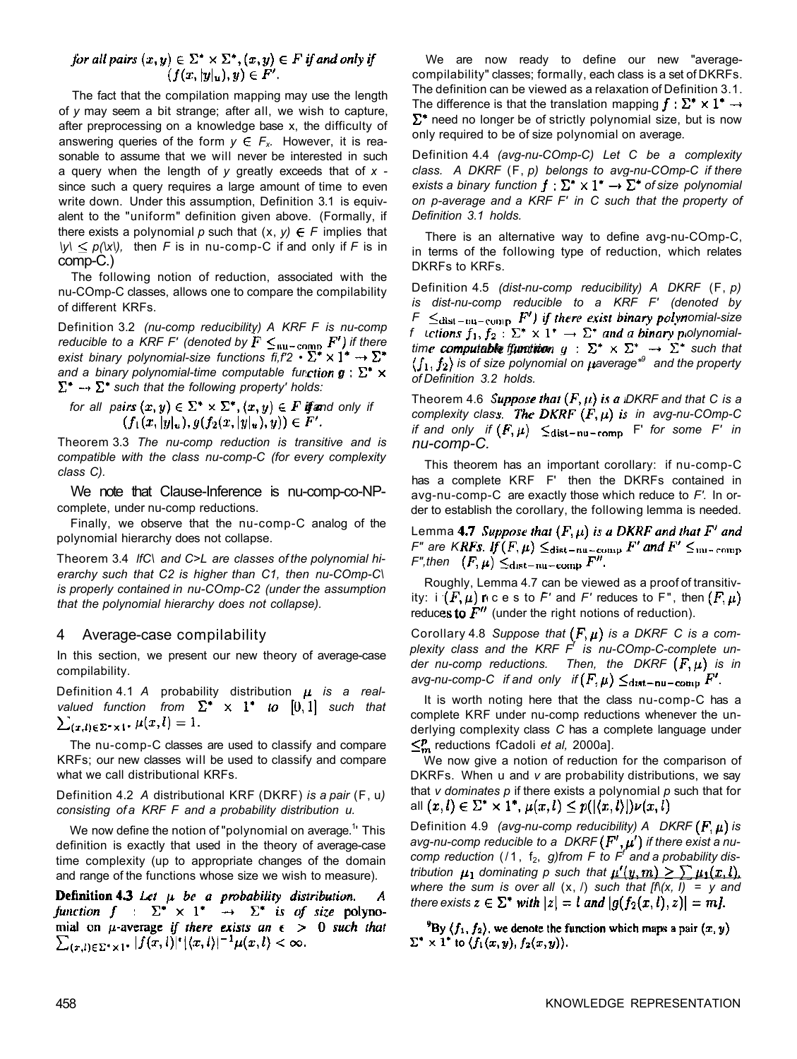## for all pairs  $(x, y) \in \Sigma^* \times \Sigma^*$ ,  $(x, y) \in F$  if and only if  $(f(x, |y|_{u}), y) \in F'.$

The fact that the compilation mapping may use the length of *y* may seem a bit strange; after all, we wish to capture, after preprocessing on a knowledge base x, the difficulty of answering queries of the form  $y \in F_x$ . However, it is reasonable to assume that we will never be interested in such a query when the length of *y* greatly exceeds that of *x*  since such a query requires a large amount of time to even write down. Under this assumption, Definition 3.1 is equivalent to the "uniform" definition given above. (Formally, if there exists a polynomial  $p$  such that  $(x, y) \in F$  implies that  $\vert y \vert \leq p(\vert x \vert)$ , then *F* is in nu-comp-C if and only if *F* is in comp-C.)

The following notion of reduction, associated with the nu-COmp-C classes, allows one to compare the compilability of different KRFs.

Definition 3.2 *(nu-comp reducibility) A KRF F is nu-comp reducible to a KRF F' (denoted by*  $F \leq_{\text{nu-comp}} F'$ *) if there exist binary polynomial-size functions fi,f'2* •  $\Sigma^* \times 1^* \rightarrow \Sigma^*$ and a binary polynomial-time computable function  $g: \Sigma^* \times$  $\Sigma^* \rightarrow \Sigma^*$  such that the following property' holds:

for all pairs 
$$
(x, y) \in \Sigma^* \times \Sigma^*
$$
,  $(x, y) \in F$  if and only if  $(f_1(x, |y|_u), g(f_2(x, |y|_u), y)) \in F'$ .

Theorem 3.3 *The nu-comp reduction is transitive and is compatible with the class nu-comp-C (for every complexity class C).* 

We note that Clause-Inference is nu-comp-co-NPcomplete, under nu-comp reductions.

Finally, we observe that the nu-comp-C analog of the polynomial hierarchy does not collapse.

Theorem 3.4 *lfC\ and C>L are classes of the polynomial hierarchy such that C2 is higher than C1, then nu-COmp-C\ is properly contained in nu-COmp-C2 (under the assumption that the polynomial hierarchy does not collapse).* 

## 4 Average-case compilability

In this section, we present our new theory of average-case compilability.

Definition 4.1 A probability distribution  $\mu$  is a real*valued function from*  $\Sigma^* \times 1^*$  to [0,1] such that  $\sum_{(x,l)\in\Sigma^*\times 1^*}\mu(x,l)=1.$ 

The nu-comp-C classes are used to classify and compare KRFs; our new classes will be used to classify and compare what we call distributional KRFs.

Definition 4.2 *A* distributional KRF (DKRF) *is a pair* (F, u*) consisting of a KRF F and a probability distribution u.* 

We now define the notion of "polynomial on average.<sup>1</sup>' This definition is exactly that used in the theory of average-case time complexity (up to appropriate changes of the domain and range of the functions whose size we wish to measure).

Definition 4.3 Let  $\mu$  be a probability distribution. function  $f : \Sigma^* \times 1^* \rightarrow \Sigma^*$  is of size polynomial on  $\mu$ -average if there exists an  $\epsilon > 0$  such that  $\sum_{(x,l)\in\Sigma^*\times 1^*} |f(x,l)|^* |\langle x,l\rangle|^{-1} \mu(x,l) < \infty.$ 

We are now ready to define our new "averagecompilability" classes; formally, each class is a set of DKRFs. The definition can be viewed as a relaxation of Definition 3.1. The difference is that the translation mapping  $f : \Sigma^* \times 1^* \rightarrow$  $\Sigma^*$  need no longer be of strictly polynomial size, but is now only required to be of size polynomial on average.

Definition 4.4 *(avg-nu-COmp-C) Let C be a complexity class. A DKRF* (F, *p) belongs to avg-nu-COmp-C if there exists a binary function*  $f : \Sigma^* \times 1^* \to \Sigma^*$  *of size polynomial on p-average and a KRF F' in C such that the property of Definition 3.1 holds.* 

There is an alternative way to define avg-nu-COmp-C, in terms of the following type of reduction, which relates DKRFs to KRFs.

Definition 4.5 *(dist-nu-comp reducibility) A DKRF* (F, *p) is dist-nu-comp reducible to a KRF F' (denoted by*   $F \leq_{dist-up-comp} F'$ ) if there exist binary polynomial-size *f tetions*  $f_1, f_2 : \Sigma^* \times 1^* \to \Sigma^*$  *and a binary prolynomialtime computable function*  $g : \Sigma^* \times \Sigma^* \rightarrow \Sigma^*$  *such that is of size polynomial on*  $\mu$ *average*<sup>8</sup> and the property *of Definition 3.2 holds.* 

Theorem 4.6 *Suppose that*  $(F, \mu)$  is a DKRF and that C is a *complexity class.* The DKRF  $(F, \mu)$  is in avg-nu-COmp-C *if and only if*  $(F, \mu) \leq_{dist-nu-comp} F'$  *for some F' in nu-comp-C.* 

This theorem has an important corollary: if nu-comp-C has a complete KRF F' then the DKRFs contained in avg-nu-comp-C are exactly those which reduce to *F'.* In order to establish the corollary, the following lemma is needed.

Lemma 4.7 Suppose that  $(F, \mu)$  is a DKRF and that  $F'$  and *F*" are *KRFs. If*  $(F, \mu) \leq_{dist-nu-\text{comp}} F'$  and  $F' \leq_{nu-\text{comp}}$ *F", then*  $(F, \mu) \leq_{\text{dist}-\text{nu}-\text{comp}} F''$ .

Roughly, Lemma 4.7 can be viewed as a proof of transitivity: if  $(F, \mu)$  in c e s to  $F'$  and  $F'$  reduces to F", then  $(F, \mu)$ reduces to  $F''$  (under the right notions of reduction).

Corollary 4.8 Suppose that  $(F, \mu)$  is a DKRF C is a com*plexity class and the KRF F<sup>f</sup> is nu-COmp-C-complete under nu-comp reductions.* Then, the DKRF  $(F, \mu)$  is in *avg-nu-comp-C if and only if*  $(F, \mu) \leq_{dist - \text{nu-comp}} F'.$ 

It is worth noting here that the class nu-comp-C has a complete KRF under nu-comp reductions whenever the underlying complexity class *C* has a complete language under  $\leq^p_m$  reductions fCadoli *et al,* 2000a].

We now give a notion of reduction for the comparison of DKRFs. When u and *v* are probability distributions, we say that *v dominates p* if there exists a polynomial *p* such that for all  $(x, l) \in \Sigma^* \times 1^*, \mu(x, l) \leq p(|\langle x, l \rangle|) \nu(x, l)$ 

Definition 4.9 (avg-nu-comp reducibility) A DKRF  $(F, \mu)$  is avg-nu-comp reducible to a  $DKRF(F',\mu')$  if there exist a nucomp reduction (/1,  $f_2$ , g)from F to  $F^f$  and a probability dis*tribution*  $\mu_1$  dominating p such that  $\mu'(y, m) \ge \sum \mu_1(x, l)$ , *where the sum is over all* (x, /) *such that [f\(x, I) = y and there exists*  $z \in \Sigma^*$  *with*  $|z| = l$  *and*  $|g(f_2(x, l), z)| = m$ .

 $\mathrm{PBy}(f_1, f_2)$ , we denote the function which maps a pair  $(x, y)$  $\Sigma^* \times 1^*$  to  $\langle f_1(x,y), f_2(x,y) \rangle$ .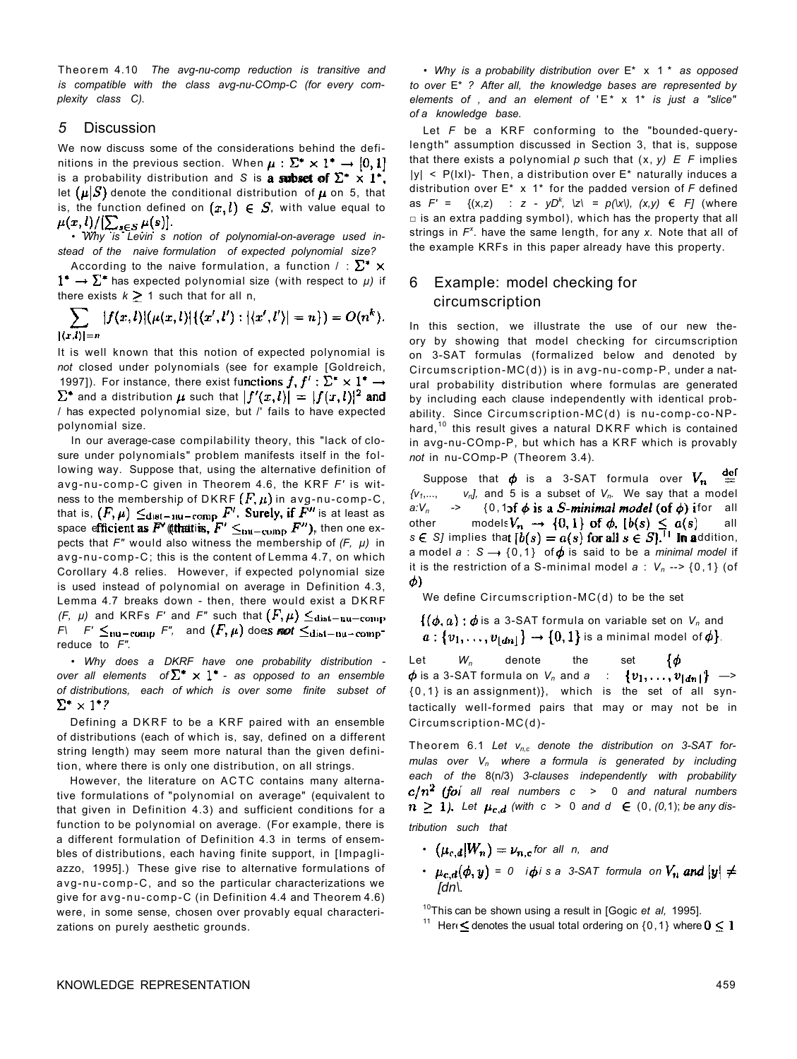Theorem 4.10 *The avg-nu-comp reduction is transitive and is compatible with the class avg-nu-COmp-C (for every complexity class C).* 

#### *5* Discussion

We now discuss some of the considerations behind the definitions in the previous section. When  $\mu : \Sigma^* \times 1^* \to [0,1]$ is a probability distribution and *S* is **a subset of**  $\Sigma^* \times 1^*$ , let  $(\mu|S)$  denote the conditional distribution of  $\mu$  on 5, that is, the function defined on  $(x, l) \in S$ , with value equal to  $\mu(x,l)/[\sum_{s\in S}\mu(s)].$ 

• *Why is Levin s notion of polynomial-on-average used instead of the naive formulation of expected polynomial size?* 

According to the naive formulation, a function  $\ell : \Sigma^* \times$  $1^* \rightarrow \Sigma^*$  has expected polynomial size (with respect to  $\mu$ ) if there exists  $k \geq 1$  such that for all n,

$$
\sum_{|\langle x,l\rangle|=n}|f(x,l)|(\mu(x,l)|\{(x',l'):\langle x',l'\rangle|=n\})=O(n^k).
$$

It is well known that this notion of expected polynomial is *not* closed under polynomials (see for example [Goldreich, 1997]). For instance, there exist functions  $f, f': \Sigma^* \times 1^* \rightarrow$  $\sum^*$  and a distribution  $\mu$  such that  $|f'(x,l)| = |f(x,l)|^2$  and / has expected polynomial size, but /' fails to have expected polynomial size.

In our average-case compilability theory, this "lack of closure under polynomials" problem manifests itself in the following way. Suppose that, using the alternative definition of avg-nu-comp-C given in Theorem 4.6, the KRF *F'* is witness to the membership of DKRF  $(F, \mu)$  in avg-nu-comp-C, that is,  $(F, \mu) \leq_{\text{dist}-\text{nu-comp}} F'$ . Surely, if  $\tilde{F}''$  is at least as space efficient as  $F'$  (that is,  $F' \leq_{\text{nu-comp}} F''$ ), then one expects that *F"* would also witness the membership of *(F, μ)* in avg-nu-comp-C; this is the content of Lemma 4.7, on which Corollary 4.8 relies. However, if expected polynomial size is used instead of polynomial on average in Definition 4.3, Lemma 4.7 breaks down - then, there would exist a DKRF *(F, μ)* and KRFs *F'* and *F"* such that  $(F, \mu) \leq_{dist - tu - comp}$  $F' \leq_{\text{nu-coup}} F''$ , and  $(F, \mu)$  does **not**  $\leq_{\text{dist-nu-comp}}$ reduce to *F".* 

• *Why does a DKRF have one probability distribution over all elements* of  $\Sigma^* \times 1^*$  - as opposed to an ensemble *of distributions, each of which is over some finite subset of*   $\Sigma^* \times 1^*$ ?

Defining a DKRF to be a KRF paired with an ensemble of distributions (each of which is, say, defined on a different string length) may seem more natural than the given definition, where there is only one distribution, on all strings.

However, the literature on ACTC contains many alternative formulations of "polynomial on average" (equivalent to that given in Definition 4.3) and sufficient conditions for a function to be polynomial on average. (For example, there is a different formulation of Definition 4.3 in terms of ensembles of distributions, each having finite support, in [Impagliazzo, 1995].) These give rise to alternative formulations of avg-nu-comp-C, and so the particular characterizations we give for avg-nu-comp-C (in Definition 4.4 and Theorem 4.6) were, in some sense, chosen over provably equal characterizations on purely aesthetic grounds.

• *Why is a probability distribution over* E\* x 1 \* *as opposed to over* E\* *? After all, the knowledge bases are represented by elements of , and an element of* 'E \* x 1\* *is just a "slice" of a knowledge base.* 

Let *F* be a KRF conforming to the "bounded-querylength" assumption discussed in Section 3, that is, suppose that there exists a polynomial *p* such that (x, *y) E F* implies  $|y|$  < P(IxI)- Then, a distribution over  $E^*$  naturally induces a distribution over E\* x 1\* for the padded version of *F* defined as  $F' = \{(x, z) : z - yD^k, \ |z| = p(|x|), \ (x, y) \in F\}$  (where □ is an extra padding symbol), which has the property that all strings in *F<sup>x</sup> .* have the same length, for any *x.* Note that all of the example KRFs in this paper already have this property.

# 6 Example: model checking for circumscription

In this section, we illustrate the use of our new theory by showing that model checking for circumscription on 3-SAT formulas (formalized below and denoted by Circumscription-MC(d)) is in avg-nu-comp-P, under a natural probability distribution where formulas are generated by including each clause independently with identical probability. Since Circumscription-MC(d) is nu-comp-co-NPhard,<sup>10</sup> this result gives a natural DKRF which is contained in avg-nu-COmp-P, but which has a KRF which is provably *not* in nu-COmp-P (Theorem 3.4).

Suppose that  $\phi$  is a 3-SAT formula over  $V_n$  $\{V_1, \ldots, \quad V_n\}$ , and 5 is a subset of  $V_n$ . We say that a model  $a:V_n$  -> {0,1 **of**  $\phi$  **is a S-minimal model (of**  $\phi$ **)** if or all other models $V_n \rightarrow \{0,1\}$  of  $\phi$ ,  $[b(s) \leq a(s)$  all  $s \in S$ *j* implies that  $[b(s) = a(s)$  for all  $s \in S$ <sup>1</sup>. In addition, a model  $a : S \rightarrow \{0, 1\}$  of  $\phi$  is said to be a *minimal model* if it is the restriction of a S-minimal model *a* : *Vn -->* {0,1 } (of φ)

We define Circumscription-MC(d) to be the set

 $\{\phi, a\}$ :  $\phi$  is a 3-SAT formula on variable set on  $V_n$  and  $a: \{v_1, \ldots, v_{\lfloor dn \rfloor}\} \rightarrow \{0,1\}$  is a minimal model of  $\phi\}.$ 

Let *Wn* denote the set  $\{\phi$  $\phi$  is a 3-SAT formula on  $V_n$  and  $a$  :  $\{v_1,\ldots,v_{|\boldsymbol{dn}|}\}$   $\rightarrow$  ${0,1}$  is an assignment)}, which is the set of all syntactically well-formed pairs that may or may not be in Circumscription-MC(d)-

Theorem 6.1 *Let vn,c denote the distribution on 3-SAT formulas over Vn where a formula is generated by including each of the* 8(n/3) *3-clauses independently with probability r all real numbers c >* 0 *and natural numbers*   $n \geq 1$ ). Let  $\mu_{c,d}$  (with  $c > 0$  and  $d \in (0, (0,1))$ ; be any dis*tribution such that* 

•  $(\mu_{c,d}|W_n) = \nu_{n,c}$  for all *n*, and

•  $\mu_{c,d}(\phi, y) = 0$  *i* $\phi$ *i* s a 3-SAT formula on  $V_n$  and  $|y| \neq$ *[dn\.* 

<sup>10</sup>This can be shown using a result in [Gogic *et al,* 1995].

<sup>&</sup>lt;sup>11</sup> Here  $\leq$  denotes the usual total ordering on {0,1} where